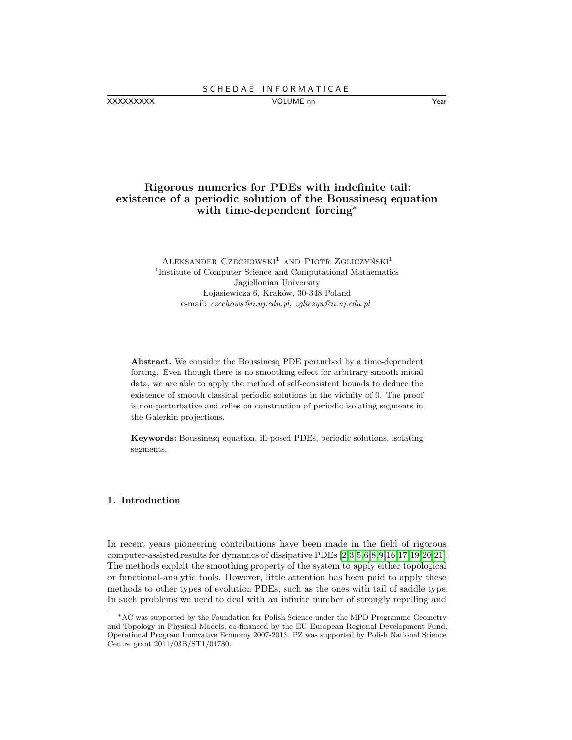XXXXXXXXX VOLUME nn Year

Rigorous numerics for PDEs with indefinite tail: existence of a periodic solution of the Boussinesq equation with time-dependent forcing<sup>∗</sup>

> $A$ leksander Czechowski<sup>1</sup> and Piotr Zgliczyński<sup>1</sup> <sup>1</sup>Institute of Computer Science and Computational Mathematics Jagiellonian University Lojasiewicza 6, Kraków, 30-348 Poland e-mail: czechows@ii.uj.edu.pl, zgliczyn@ii.uj.edu.pl

Abstract. We consider the Boussinesq PDE perturbed by a time-dependent forcing. Even though there is no smoothing effect for arbitrary smooth initial data, we are able to apply the method of self-consistent bounds to deduce the existence of smooth classical periodic solutions in the vicinity of 0. The proof is non-perturbative and relies on construction of periodic isolating segments in the Galerkin projections.

Keywords: Boussinesq equation, ill-posed PDEs, periodic solutions, isolating segments.

### 1. Introduction

In recent years pioneering contributions have been made in the field of rigorous computer-assisted results for dynamics of dissipative PDEs [\[2,](#page-14-0)[3,](#page-14-1)[5,](#page-14-2)[6,](#page-14-3)[8,](#page-14-4)[9,](#page-14-5)[16,](#page-15-0)[17,](#page-15-1)[19,](#page-15-2)[20,](#page-15-3)[21\]](#page-15-4). The methods exploit the smoothing property of the system to apply either topological or functional-analytic tools. However, little attention has been paid to apply these methods to other types of evolution PDEs, such as the ones with tail of saddle type. In such problems we need to deal with an infinite number of strongly repelling and

<sup>∗</sup>AC was supported by the Foundation for Polish Science under the MPD Programme Geometry and Topology in Physical Models, co-financed by the EU European Regional Development Fund, Operational Program Innovative Economy 2007-2013. PZ was supported by Polish National Science Centre grant 2011/03B/ST1/04780.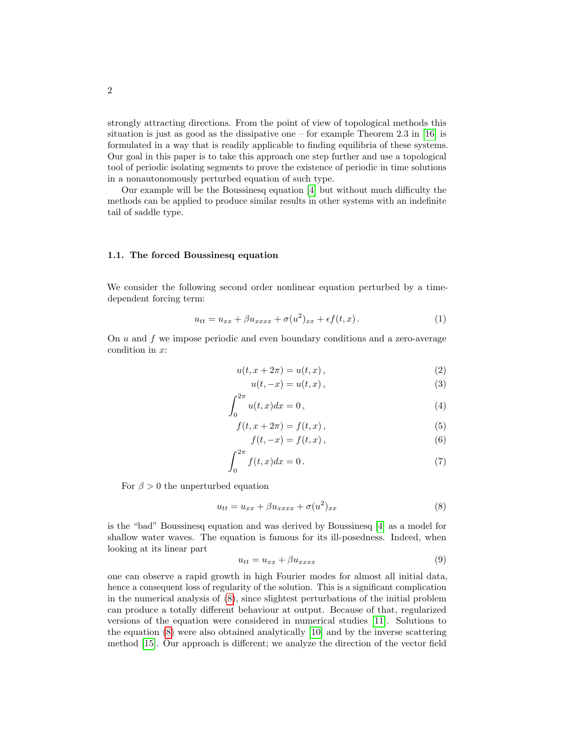strongly attracting directions. From the point of view of topological methods this situation is just as good as the dissipative one – for example Theorem 2.3 in  $[16]$  is formulated in a way that is readily applicable to finding equilibria of these systems. Our goal in this paper is to take this approach one step further and use a topological tool of periodic isolating segments to prove the existence of periodic in time solutions in a nonautonomously perturbed equation of such type.

Our example will be the Boussinesq equation [\[4\]](#page-14-6) but without much difficulty the methods can be applied to produce similar results in other systems with an indefinite tail of saddle type.

## 1.1. The forced Boussinesq equation

We consider the following second order nonlinear equation perturbed by a timedependent forcing term:

<span id="page-1-1"></span>
$$
u_{tt} = u_{xx} + \beta u_{xxxx} + \sigma(u^2)_{xx} + \epsilon f(t, x). \tag{1}
$$

On  $u$  and  $f$  we impose periodic and even boundary conditions and a zero-average condition in x:

<span id="page-1-4"></span><span id="page-1-3"></span><span id="page-1-2"></span>
$$
u(t, x + 2\pi) = u(t, x), \qquad (2)
$$

$$
u(t, -x) = u(t, x), \tag{3}
$$

$$
\int_0^{2\pi} u(t,x)dx = 0,
$$
\n(4)

$$
f(t, x + 2\pi) = f(t, x),
$$
\n(5)

$$
f(t, -x) = f(t, x),
$$
 (6)

$$
\int_0^{2\pi} f(t, x) dx = 0. \tag{7}
$$

For  $\beta > 0$  the unperturbed equation

<span id="page-1-0"></span>
$$
u_{tt} = u_{xx} + \beta u_{xxxx} + \sigma(u^2)_{xx}
$$
\n<sup>(8)</sup>

is the "bad" Boussinesq equation and was derived by Boussinesq [\[4\]](#page-14-6) as a model for shallow water waves. The equation is famous for its ill-posedness. Indeed, when looking at its linear part

<span id="page-1-5"></span>
$$
u_{tt} = u_{xx} + \beta u_{xxxx} \tag{9}
$$

one can observe a rapid growth in high Fourier modes for almost all initial data, hence a consequent loss of regularity of the solution. This is a significant complication in the numerical analysis of [\(8\)](#page-1-0), since slightest perturbations of the initial problem can produce a totally different behaviour at output. Because of that, regularized versions of the equation were considered in numerical studies [\[11\]](#page-14-7). Solutions to the equation [\(8\)](#page-1-0) were also obtained analytically [\[10\]](#page-14-8) and by the inverse scattering method [\[15\]](#page-14-9). Our approach is different; we analyze the direction of the vector field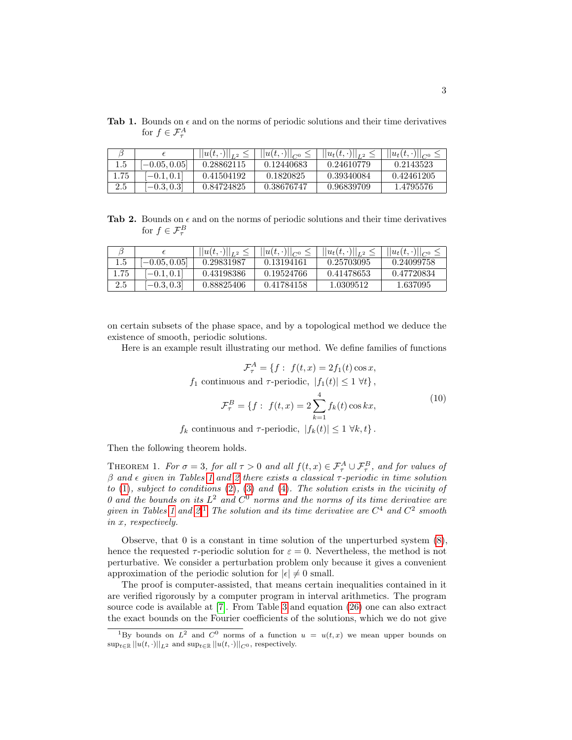<span id="page-2-0"></span>**Tab 1.** Bounds on  $\epsilon$  and on the norms of periodic solutions and their time derivatives for  $f \in \mathcal{F}^A_\tau$ 

|      |               | $  u(t,\cdot)  _{L^2}$ | $  u(t,\cdot)  _{C^0}<$ | $  u_t(t,\cdot)  _{L^2}$ | $  u_t(t,\cdot)  _{C^0}$ |
|------|---------------|------------------------|-------------------------|--------------------------|--------------------------|
|      | $-0.05, 0.05$ | 0.28862115             | 0.12440683              | 0.24610779               | 0.2143523                |
| 1.75 | $-0.1, 0.1$   | 0.41504192             | 0.1820825               | 0.39340084               | 0.42461205               |
| 2.5  | $-0.3, 0.3$   | 0.84724825             | 0.38676747              | 0.96839709               | 1.4795576                |

<span id="page-2-1"></span>**Tab 2.** Bounds on  $\epsilon$  and on the norms of periodic solutions and their time derivatives for  $f \in \mathcal{F}^B_\tau$ 

|               | $  u(t,\cdot)  _{L^2}$ | $  u(t,\cdot)  _{C^{0}}$ | $  u_t(t,\cdot)  _{L^2}$ | $  u_t(t,\cdot)  _{C^0}$ |
|---------------|------------------------|--------------------------|--------------------------|--------------------------|
| $-0.05, 0.05$ | 0.29831987             | 0.13194161               | 0.25703095               | 0.24099758               |
| $-0.1, 0.1$   | 0.43198386             | 0.19524766               | 0.41478653               | 0.47720834               |
| $-0.3, 0.3$   | 0.88825406             | 0.41784158               | 1.0309512                | 1.637095                 |

on certain subsets of the phase space, and by a topological method we deduce the existence of smooth, periodic solutions.

Here is an example result illustrating our method. We define families of functions

$$
\mathcal{F}_{\tau}^{A} = \{f : f(t, x) = 2f_1(t) \cos x,
$$
  

$$
f_1 \text{ continuous and } \tau \text{-periodic}, |f_1(t)| \le 1 \ \forall t \},
$$
  

$$
\mathcal{F}_{\tau}^{B} = \{f : f(t, x) = 2 \sum_{k=1}^{4} f_k(t) \cos kx,
$$
 (10)

 $f_k$  continuous and  $\tau$ -periodic,  $|f_k(t)| \leq 1 \ \forall k, t$ .

Then the following theorem holds.

<span id="page-2-3"></span>THEOREM 1. For  $\sigma = 3$ , for all  $\tau > 0$  and all  $f(t, x) \in \mathcal{F}^A_\tau \cup \mathcal{F}^B_\tau$ , and for values of  $β$  and  $ε$  given in Tables [1](#page-2-0) and [2](#page-2-1) there exists a classical  $τ$ -periodic in time solution to [\(1\)](#page-1-1), subject to conditions [\(2\)](#page-1-2), [\(3\)](#page-1-3) and [\(4\)](#page-1-4). The solution exists in the vicinity of 0 and the bounds on its  $L^2$  and  $C^0$  norms and the norms of its time derivative are given in Tables [1](#page-2-0) and [2.](#page-2-1)<sup>[1](#page-2-2)</sup> The solution and its time derivative are  $C^4$  and  $C^2$  smooth in x, respectively.

Observe, that 0 is a constant in time solution of the unperturbed system [\(8\)](#page-1-0), hence the requested  $\tau$ -periodic solution for  $\varepsilon = 0$ . Nevertheless, the method is not perturbative. We consider a perturbation problem only because it gives a convenient approximation of the periodic solution for  $|\epsilon| \neq 0$  small.

The proof is computer-assisted, that means certain inequalities contained in it are verified rigorously by a computer program in interval arithmetics. The program source code is available at [\[7\]](#page-14-10). From Table [3](#page-13-0) and equation [\(26\)](#page-7-0) one can also extract the exact bounds on the Fourier coefficients of the solutions, which we do not give

<span id="page-2-2"></span><sup>&</sup>lt;sup>1</sup>By bounds on  $L^2$  and  $C^0$  norms of a function  $u = u(t, x)$  we mean upper bounds on  $\sup_{t\in\mathbb{R}}||u(t,\cdot)||_{L^2}$  and  $\sup_{t\in\mathbb{R}}||u(t,\cdot)||_{C^0}$  , respectively.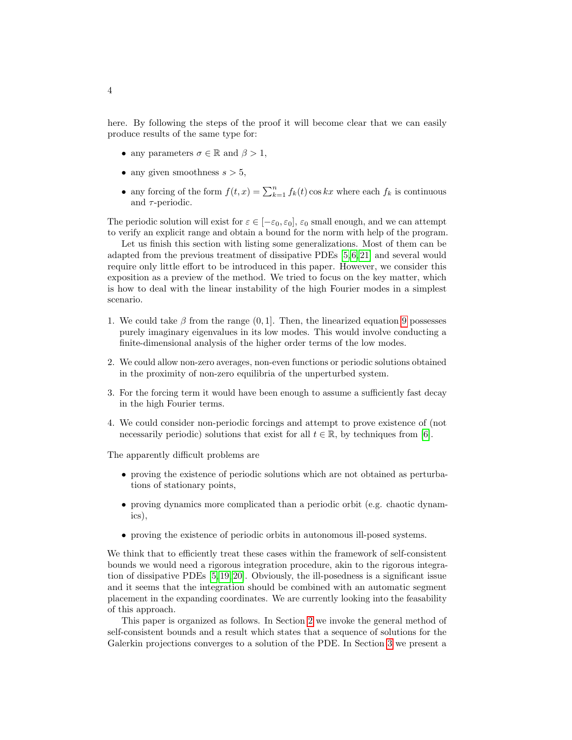here. By following the steps of the proof it will become clear that we can easily produce results of the same type for:

- any parameters  $\sigma \in \mathbb{R}$  and  $\beta > 1$ ,
- any given smoothness  $s > 5$ ,
- any forcing of the form  $f(t, x) = \sum_{k=1}^{n} f_k(t) \cos kx$  where each  $f_k$  is continuous and  $\tau$ -periodic.

The periodic solution will exist for  $\varepsilon \in [-\varepsilon_0, \varepsilon_0]$ ,  $\varepsilon_0$  small enough, and we can attempt to verify an explicit range and obtain a bound for the norm with help of the program.

Let us finish this section with listing some generalizations. Most of them can be adapted from the previous treatment of dissipative PDEs [\[5,](#page-14-2) [6,](#page-14-3) [21\]](#page-15-4) and several would require only little effort to be introduced in this paper. However, we consider this exposition as a preview of the method. We tried to focus on the key matter, which is how to deal with the linear instability of the high Fourier modes in a simplest scenario.

- 1. We could take  $\beta$  from the range (0, 1). Then, the linearized equation [9](#page-1-5) possesses purely imaginary eigenvalues in its low modes. This would involve conducting a finite-dimensional analysis of the higher order terms of the low modes.
- 2. We could allow non-zero averages, non-even functions or periodic solutions obtained in the proximity of non-zero equilibria of the unperturbed system.
- 3. For the forcing term it would have been enough to assume a sufficiently fast decay in the high Fourier terms.
- 4. We could consider non-periodic forcings and attempt to prove existence of (not necessarily periodic) solutions that exist for all  $t \in \mathbb{R}$ , by techniques from [\[6\]](#page-14-3).

The apparently difficult problems are

- proving the existence of periodic solutions which are not obtained as perturbations of stationary points,
- proving dynamics more complicated than a periodic orbit (e.g. chaotic dynamics),
- proving the existence of periodic orbits in autonomous ill-posed systems.

We think that to efficiently treat these cases within the framework of self-consistent bounds we would need a rigorous integration procedure, akin to the rigorous integration of dissipative PDEs [\[5,](#page-14-2) [19,](#page-15-2) [20\]](#page-15-3). Obviously, the ill-posedness is a significant issue and it seems that the integration should be combined with an automatic segment placement in the expanding coordinates. We are currently looking into the feasability of this approach.

This paper is organized as follows. In Section [2](#page-4-0) we invoke the general method of self-consistent bounds and a result which states that a sequence of solutions for the Galerkin projections converges to a solution of the PDE. In Section [3](#page-5-0) we present a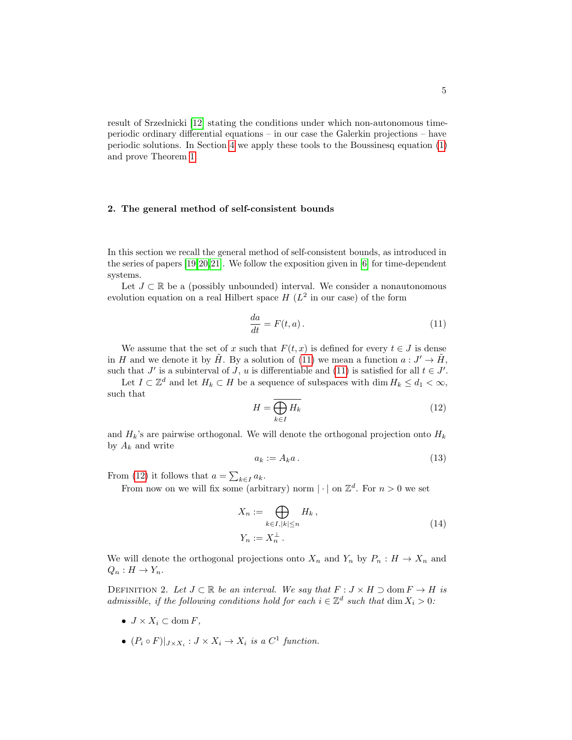<span id="page-4-0"></span>result of Srzednicki [\[12\]](#page-14-11) stating the conditions under which non-autonomous timeperiodic ordinary differential equations – in our case the Galerkin projections – have periodic solutions. In Section [4](#page-7-1) we apply these tools to the Boussinesq equation [\(1\)](#page-1-1) and prove Theorem [1.](#page-2-3)

### 2. The general method of self-consistent bounds

In this section we recall the general method of self-consistent bounds, as introduced in the series of papers [\[19,](#page-15-2)[20,](#page-15-3)[21\]](#page-15-4). We follow the exposition given in [\[6\]](#page-14-3) for time-dependent systems.

Let  $J \subset \mathbb{R}$  be a (possibly unbounded) interval. We consider a nonautonomous evolution equation on a real Hilbert space  $H(L^2)$  in our case) of the form

<span id="page-4-1"></span>
$$
\frac{da}{dt} = F(t, a). \tag{11}
$$

We assume that the set of x such that  $F(t, x)$  is defined for every  $t \in J$  is dense in H and we denote it by  $\tilde{H}$ . By a solution of [\(11\)](#page-4-1) we mean a function  $a: J' \to \tilde{H}$ , such that  $J'$  is a subinterval of  $J$ ,  $u$  is differentiable and [\(11\)](#page-4-1) is satisfied for all  $t \in J'$ .

Let  $I \subset \mathbb{Z}^d$  and let  $H_k \subset H$  be a sequence of subspaces with  $\dim H_k \leq d_1 < \infty$ , such that

<span id="page-4-2"></span>
$$
H = \overline{\bigoplus_{k \in I} H_k} \tag{12}
$$

and  $H_k$ 's are pairwise orthogonal. We will denote the orthogonal projection onto  $H_k$ by  $A_k$  and write

$$
a_k := A_k a \,. \tag{13}
$$

From [\(12\)](#page-4-2) it follows that  $a = \sum_{k \in I} a_k$ .

From now on we will fix some (arbitrary) norm  $|\cdot|$  on  $\mathbb{Z}^d$ . For  $n > 0$  we set

$$
X_n := \bigoplus_{k \in I, |k| \le n} H_k,
$$
  

$$
Y_n := X_n^{\perp}.
$$
 (14)

We will denote the orthogonal projections onto  $X_n$  and  $Y_n$  by  $P_n : H \to X_n$  and  $Q_n: H \to Y_n$ .

DEFINITION 2. Let  $J \subset \mathbb{R}$  be an interval. We say that  $F : J \times H \supset \text{dom } F \to H$  is admissible, if the following conditions hold for each  $i \in \mathbb{Z}^d$  such that  $\dim X_i > 0$ :

- $J \times X_i \subset \text{dom } F$ ,
- $(P_i \circ F)|_{J \times X_i}: J \times X_i \to X_i$  is a  $C^1$  function.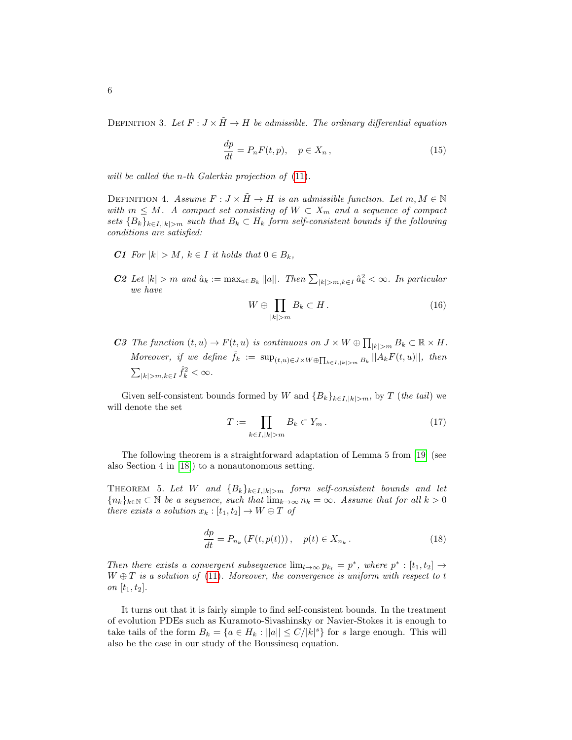DEFINITION 3. Let  $F: J \times \tilde{H} \to H$  be admissible. The ordinary differential equation

$$
\frac{dp}{dt} = P_n F(t, p), \quad p \in X_n,
$$
\n(15)

will be called the *n*-th Galerkin projection of  $(11)$ .

DEFINITION 4. Assume  $F : J \times H \to H$  is an admissible function. Let  $m, M \in \mathbb{N}$ with  $m \leq M$ . A compact set consisting of  $W \subset X_m$  and a sequence of compact sets  ${B_k}_{k\in I, |k|>m}$  such that  $B_k \subset H_k$  form self-consistent bounds if the following conditions are satisfied:

- C1 For  $|k| > M$ ,  $k \in I$  it holds that  $0 \in B_k$ ,
- **C2** Let  $|k| > m$  and  $\hat{a}_k := \max_{a \in B_k} ||a||$ . Then  $\sum_{|k| > m, k \in I} \hat{a}_k^2 < \infty$ . In particular we have

$$
W \oplus \prod_{|k|>m} B_k \subset H. \tag{16}
$$

C3 The function  $(t, u) \to F(t, u)$  is continuous on  $J \times W \oplus \prod_{|k| > m} B_k \subset \mathbb{R} \times H$ . Moreover, if we define  $\hat{f}_k := \sup_{(t,u) \in J \times W \oplus \prod_{k \in I, |k| > m} B_k} ||A_k F(t, u)||$ , then  $\sum_{|k|>m, k\in I} \hat{f}_k^2 < \infty.$ 

Given self-consistent bounds formed by W and  ${B_k}_{k\in I, |k|>m}$ , by T (the tail) we will denote the set

$$
T := \prod_{k \in I, |k| > m} B_k \subset Y_m \,. \tag{17}
$$

The following theorem is a straightforward adaptation of Lemma 5 from [\[19\]](#page-15-2) (see also Section 4 in [\[18\]](#page-15-5)) to a nonautonomous setting.

<span id="page-5-1"></span>THEOREM 5. Let W and  ${B_k}_{k\in I, |k|>m}$  form self-consistent bounds and let  ${n_k}_{k \in \mathbb{N}} \subset \mathbb{N}$  be a sequence, such that  $\lim_{k \to \infty} n_k = \infty$ . Assume that for all  $k > 0$ there exists a solution  $x_k : [t_1, t_2] \to W \oplus T$  of

$$
\frac{dp}{dt} = P_{n_k} (F(t, p(t))), \quad p(t) \in X_{n_k} .
$$
\n(18)

Then there exists a convergent subsequence  $\lim_{l\to\infty} p_{k_l} = p^*$ , where  $p^* : [t_1, t_2] \to$  $W \oplus T$  is a solution of [\(11\)](#page-4-1). Moreover, the convergence is uniform with respect to t on  $[t_1, t_2]$ .

<span id="page-5-0"></span>It turns out that it is fairly simple to find self-consistent bounds. In the treatment of evolution PDEs such as Kuramoto-Sivashinsky or Navier-Stokes it is enough to take tails of the form  $B_k = \{a \in H_k : ||a|| \le C/|k|^s\}$  for s large enough. This will also be the case in our study of the Boussinesq equation.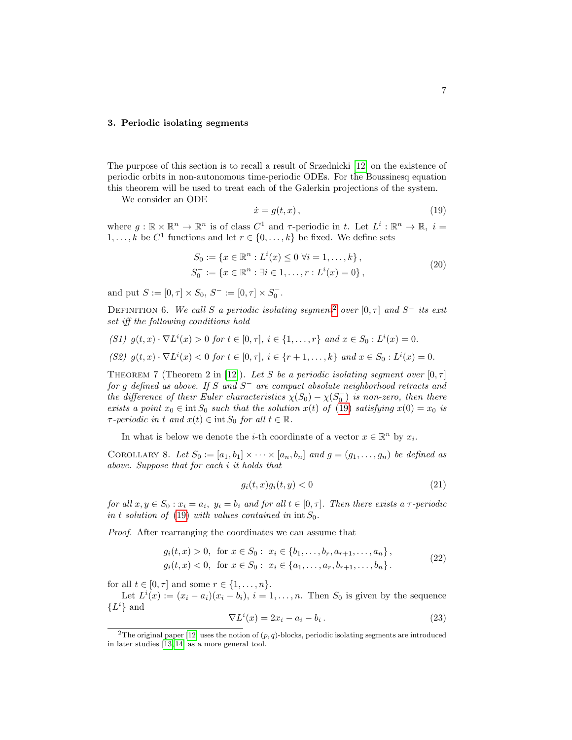## 3. Periodic isolating segments

The purpose of this section is to recall a result of Srzednicki [\[12\]](#page-14-11) on the existence of periodic orbits in non-autonomous time-periodic ODEs. For the Boussinesq equation this theorem will be used to treat each of the Galerkin projections of the system.

We consider an ODE

<span id="page-6-1"></span>
$$
\dot{x} = g(t, x),\tag{19}
$$

where  $g: \mathbb{R} \times \mathbb{R}^n \to \mathbb{R}^n$  is of class  $C^1$  and  $\tau$ -periodic in t. Let  $L^i: \mathbb{R}^n \to \mathbb{R}, i =$  $1, \ldots, k$  be  $C^1$  functions and let  $r \in \{0, \ldots, k\}$  be fixed. We define sets

$$
S_0 := \{ x \in \mathbb{R}^n : L^i(x) \le 0 \ \forall i = 1, ..., k \},
$$
  
\n
$$
S_0^- := \{ x \in \mathbb{R}^n : \exists i \in 1, ..., r : L^i(x) = 0 \},
$$
\n
$$
(20)
$$

and put  $S := [0, \tau] \times S_0, S^- := [0, \tau] \times S_0^-$ .

DEFINITION 6. We call S a periodic isolating segment<sup>[2](#page-6-0)</sup> over [0,  $\tau$ ] and S<sup>-</sup> its exit set iff the following conditions hold

(S1)  $g(t, x) \cdot \nabla L^{i}(x) > 0$  for  $t \in [0, \tau]$ ,  $i \in \{1, ..., r\}$  and  $x \in S_0 : L^{i}(x) = 0$ . (S2)  $g(t, x) \cdot \nabla L^{i}(x) < 0$  for  $t \in [0, \tau], i \in \{r + 1, \ldots, k\}$  and  $x \in S_0 : L^{i}(x) = 0$ .

<span id="page-6-3"></span>THEOREM 7 (Theorem 2 in [\[12\]](#page-14-11)). Let S be a periodic isolating segment over  $[0, \tau]$ for g defined as above. If S and  $S^-$  are compact absolute neighborhood retracts and the difference of their Euler characteristics  $\chi(S_0) - \chi(S_0^-)$  is non-zero, then there exists a point  $x_0 \in \text{int } S_0$  such that the solution  $x(t)$  of [\(19\)](#page-6-1) satisfying  $x(0) = x_0$  is  $\tau$ -periodic in t and  $x(t) \in \text{int } S_0$  for all  $t \in \mathbb{R}$ .

In what is below we denote the *i*-th coordinate of a vector  $x \in \mathbb{R}^n$  by  $x_i$ .

<span id="page-6-5"></span>COROLLARY 8. Let  $S_0 := [a_1, b_1] \times \cdots \times [a_n, b_n]$  and  $g = (g_1, \ldots, g_n)$  be defined as above. Suppose that for each i it holds that

<span id="page-6-4"></span>
$$
g_i(t, x)g_i(t, y) < 0 \tag{21}
$$

for all  $x, y \in S_0 : x_i = a_i$ ,  $y_i = b_i$  and for all  $t \in [0, \tau]$ . Then there exists a  $\tau$ -periodic in t solution of [\(19\)](#page-6-1) with values contained in  $\text{int } S_0$ .

Proof. After rearranging the coordinates we can assume that

<span id="page-6-2"></span>
$$
g_i(t, x) > 0, \text{ for } x \in S_0: x_i \in \{b_1, \dots, b_r, a_{r+1}, \dots, a_n\},
$$
  
\n
$$
g_i(t, x) < 0, \text{ for } x \in S_0: x_i \in \{a_1, \dots, a_r, b_{r+1}, \dots, b_n\}.
$$
\n
$$
(22)
$$

for all  $t \in [0, \tau]$  and some  $r \in \{1, \ldots, n\}$ .

Let  $L^i(x) := (x_i - a_i)(x_i - b_i), i = 1, \ldots, n$ . Then  $S_0$  is given by the sequence  ${L^i}$  and

$$
\nabla L^i(x) = 2x_i - a_i - b_i.
$$
\n(23)

<span id="page-6-0"></span><sup>&</sup>lt;sup>2</sup>The original paper [\[12\]](#page-14-11) uses the notion of  $(p, q)$ -blocks, periodic isolating segments are introduced in later studies [\[13,](#page-14-12) [14\]](#page-14-13) as a more general tool.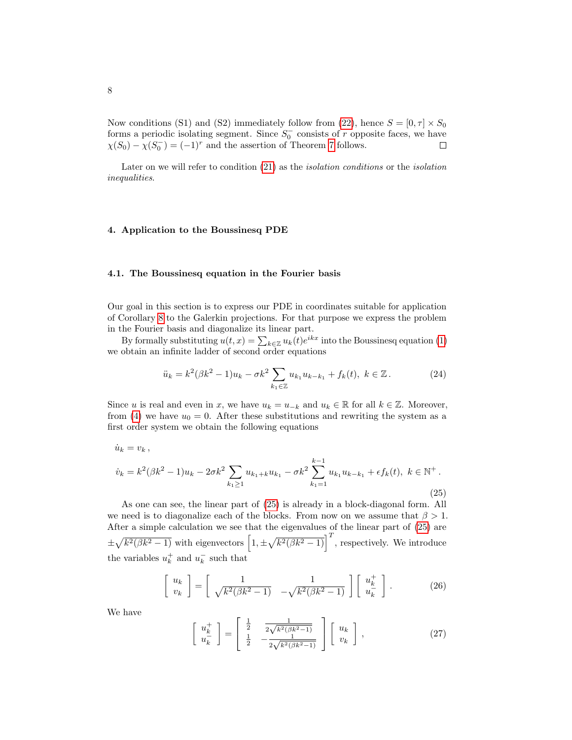Now conditions (S1) and (S2) immediately follow from [\(22\)](#page-6-2), hence  $S = [0, \tau] \times S_0$ forms a periodic isolating segment. Since  $S_0^-$  consists of r opposite faces, we have  $\chi(S_0) - \chi(S_0^-) = (-1)^r$  and the assertion of Theorem [7](#page-6-3) follows.  $\Box$ 

<span id="page-7-1"></span>Later on we will refer to condition [\(21\)](#page-6-4) as the isolation conditions or the isolation inequalities.

# 4. Application to the Boussinesq PDE

### 4.1. The Boussinesq equation in the Fourier basis

Our goal in this section is to express our PDE in coordinates suitable for application of Corollary [8](#page-6-5) to the Galerkin projections. For that purpose we express the problem in the Fourier basis and diagonalize its linear part.

By formally substituting  $u(t, x) = \sum_{k \in \mathbb{Z}} u_k(t) e^{ikx}$  into the Boussinesq equation [\(1\)](#page-1-1) we obtain an infinite ladder of second order equations

$$
\ddot{u}_k = k^2(\beta k^2 - 1)u_k - \sigma k^2 \sum_{k_1 \in \mathbb{Z}} u_{k_1} u_{k - k_1} + f_k(t), \ k \in \mathbb{Z} \,. \tag{24}
$$

Since u is real and even in x, we have  $u_k = u_{-k}$  and  $u_k \in \mathbb{R}$  for all  $k \in \mathbb{Z}$ . Moreover, from [\(4\)](#page-1-4) we have  $u_0 = 0$ . After these substitutions and rewriting the system as a first order system we obtain the following equations

<span id="page-7-2"></span>
$$
\dot{u}_k = v_k, \n\dot{v}_k = k^2(\beta k^2 - 1)u_k - 2\sigma k^2 \sum_{k_1 \ge 1} u_{k_1 + k} u_{k_1} - \sigma k^2 \sum_{k_1 = 1}^{k-1} u_{k_1} u_{k - k_1} + \epsilon f_k(t), \ k \in \mathbb{N}^+.
$$
\n(25)

As one can see, the linear part of [\(25\)](#page-7-2) is already in a block-diagonal form. All we need is to diagonalize each of the blocks. From now on we assume that  $\beta > 1$ . After a simple calculation we see that the eigenvalues of the linear part of [\(25\)](#page-7-2) are  $\pm\sqrt{k^2(\beta k^2-1)}$  with eigenvectors  $\left[1,\pm\sqrt{k^2(\beta k^2-1)}\right]^T$ , respectively. We introduce the variables  $u_k^+$  and  $u_k^-$  such that

<span id="page-7-0"></span>
$$
\begin{bmatrix} u_k \\ v_k \end{bmatrix} = \begin{bmatrix} \frac{1}{\sqrt{k^2(\beta k^2 - 1)}} & \frac{1}{-\sqrt{k^2(\beta k^2 - 1)}} \end{bmatrix} \begin{bmatrix} u_k^+ \\ u_k^- \end{bmatrix} . \tag{26}
$$

We have

$$
\begin{bmatrix} u_k^+ \\ u_k^- \end{bmatrix} = \begin{bmatrix} \frac{1}{2} & \frac{1}{2\sqrt{k^2(\beta k^2 - 1)}} \\ \frac{1}{2} & -\frac{1}{2\sqrt{k^2(\beta k^2 - 1)}} \end{bmatrix} \begin{bmatrix} u_k \\ v_k \end{bmatrix},\tag{27}
$$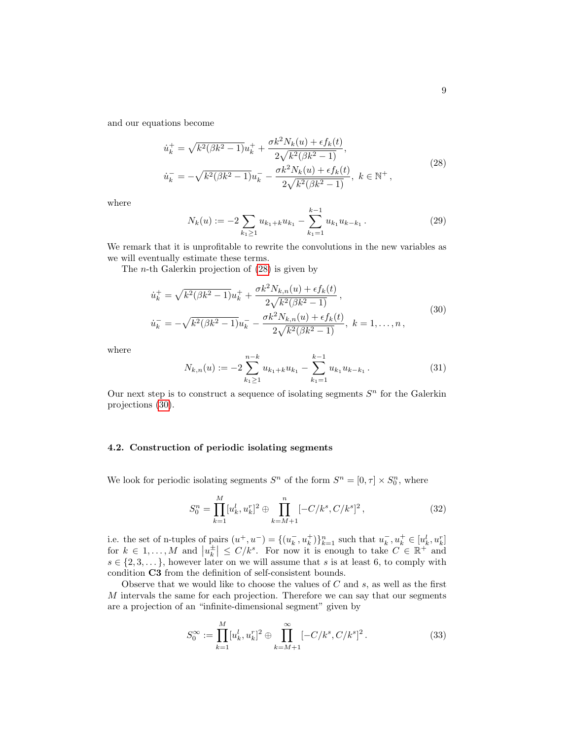and our equations become

<span id="page-8-0"></span>
$$
\dot{u}_k^+ = \sqrt{k^2(\beta k^2 - 1)}u_k^+ + \frac{\sigma k^2 N_k(u) + \epsilon f_k(t)}{2\sqrt{k^2(\beta k^2 - 1)}},
$$
  

$$
\dot{u}_k^- = -\sqrt{k^2(\beta k^2 - 1)}u_k^- - \frac{\sigma k^2 N_k(u) + \epsilon f_k(t)}{2\sqrt{k^2(\beta k^2 - 1)}}, \ k \in \mathbb{N}^+,
$$
\n(28)

where

$$
N_k(u) := -2 \sum_{k_1 \ge 1} u_{k_1 + k} u_{k_1} - \sum_{k_1 = 1}^{k-1} u_{k_1} u_{k - k_1}.
$$
 (29)

We remark that it is unprofitable to rewrite the convolutions in the new variables as we will eventually estimate these terms.

The n-th Galerkin projection of [\(28\)](#page-8-0) is given by

<span id="page-8-1"></span>
$$
\dot{u}_k^+ = \sqrt{k^2(\beta k^2 - 1)}u_k^+ + \frac{\sigma k^2 N_{k,n}(u) + \epsilon f_k(t)}{2\sqrt{k^2(\beta k^2 - 1)}},
$$
  

$$
\dot{u}_k^- = -\sqrt{k^2(\beta k^2 - 1)}u_k^- - \frac{\sigma k^2 N_{k,n}(u) + \epsilon f_k(t)}{2\sqrt{k^2(\beta k^2 - 1)}}, \ k = 1, ..., n,
$$
\n(30)

where

$$
N_{k,n}(u) := -2\sum_{k_1 \ge 1}^{n-k} u_{k_1+k} u_{k_1} - \sum_{k_1=1}^{k-1} u_{k_1} u_{k-k_1}.
$$
 (31)

Our next step is to construct a sequence of isolating segments  $S<sup>n</sup>$  for the Galerkin projections [\(30\)](#page-8-1).

# 4.2. Construction of periodic isolating segments

We look for periodic isolating segments  $S<sup>n</sup>$  of the form  $S<sup>n</sup> = [0, \tau] \times S<sup>n</sup><sub>0</sub>$ , where

<span id="page-8-2"></span>
$$
S_0^n = \prod_{k=1}^M [u_k^l, u_k^r]^2 \oplus \prod_{k=M+1}^n [-C/k^s, C/k^s]^2, \qquad (32)
$$

i.e. the set of n-tuples of pairs  $(u^+, u^-) = \{(u_k^-, u_k^+)\}_{k=1}^n$  such that  $u_k^-, u_k^+ \in [u_k^l, u_k^r]$ for  $k \in 1, ..., M$  and  $|u_k^{\pm}| \le C/k^s$ . For now it is enough to take  $C \in \mathbb{R}^+$  and  $s \in \{2, 3, \dots\}$ , however later on we will assume that s is at least 6, to comply with condition C3 from the definition of self-consistent bounds.

Observe that we would like to choose the values of  $C$  and  $s$ , as well as the first  $M$  intervals the same for each projection. Therefore we can say that our segments are a projection of an "infinite-dimensional segment" given by

<span id="page-8-3"></span>
$$
S_0^{\infty} := \prod_{k=1}^{M} [u_k^l, u_k^r]^2 \oplus \prod_{k=M+1}^{\infty} [-C/k^s, C/k^s]^2.
$$
 (33)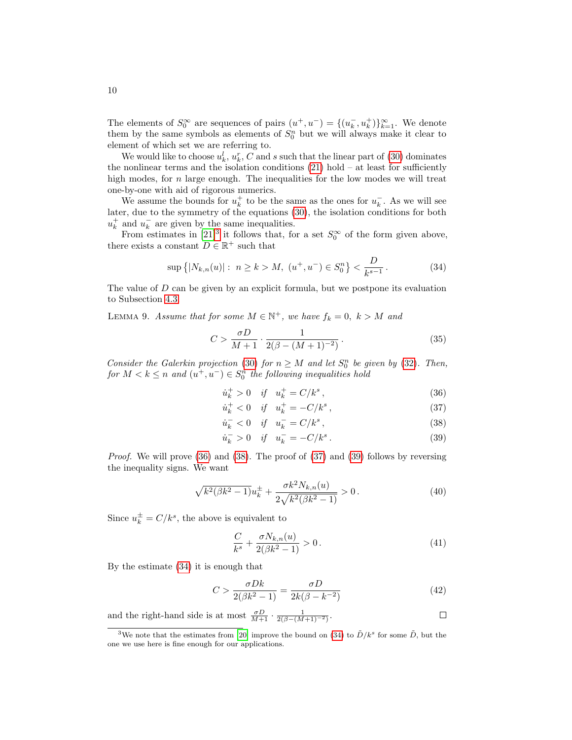The elements of  $S_0^{\infty}$  are sequences of pairs  $(u^+, u^-) = \{(u_k^-, u_k^+)\}_{k=1}^{\infty}$ . We denote them by the same symbols as elements of  $S_0^n$  but we will always make it clear to element of which set we are referring to.

We would like to choose  $u_k^l$ ,  $u_k^r$ , C and s such that the linear part of [\(30\)](#page-8-1) dominates the nonlinear terms and the isolation conditions  $(21)$  hold – at least for sufficiently high modes, for  $n$  large enough. The inequalities for the low modes we will treat one-by-one with aid of rigorous numerics.

We assume the bounds for  $u_k^+$  to be the same as the ones for  $u_k^-$ . As we will see later, due to the symmetry of the equations [\(30\)](#page-8-1), the isolation conditions for both  $u_k^+$  and  $u_k^-$  are given by the same inequalities.

From estimates in [\[21\]](#page-15-4)<sup>[3](#page-9-0)</sup> it follows that, for a set  $S_0^{\infty}$  of the form given above, there exists a constant  $D \in \mathbb{R}^+$  such that

<span id="page-9-6"></span>
$$
\sup\left\{|N_{k,n}(u)|:\ n\geq k\right\}M,\ (u^+,u^-)\in S_0^n\right\}<\frac{D}{k^{s-1}}.\tag{34}
$$

The value of  $D$  can be given by an explicit formula, but we postpone its evaluation to Subsection [4.3.](#page-9-1)

<span id="page-9-7"></span>LEMMA 9. Assume that for some  $M \in \mathbb{N}^+$ , we have  $f_k = 0$ ,  $k > M$  and

<span id="page-9-9"></span>
$$
C > \frac{\sigma D}{M+1} \cdot \frac{1}{2(\beta - (M+1)^{-2})} \,. \tag{35}
$$

Consider the Galerkin projection [\(30\)](#page-8-1) for  $n \geq M$  and let  $S_0^n$  be given by [\(32\)](#page-8-2). Then,  $for M < k \leq n$  and  $(u^+, u^-) \in S_0^n$  the following inequalities hold

<span id="page-9-4"></span><span id="page-9-2"></span>
$$
\dot{u}_k^+ > 0 \quad \text{if} \quad u_k^+ = C/k^s \,, \tag{36}
$$

$$
\dot{u}_k^+ < 0 \quad \text{if} \quad u_k^+ = -C/k^s \,, \tag{37}
$$

<span id="page-9-5"></span><span id="page-9-3"></span>
$$
\dot{u}_k^- < 0 \quad \text{if} \quad u_k^- = C/k^s \,, \tag{38}
$$

$$
\dot{u}_k^- > 0 \quad \text{if} \quad u_k^- = -C/k^s \,. \tag{39}
$$

Proof. We will prove [\(36\)](#page-9-2) and [\(38\)](#page-9-3). The proof of [\(37\)](#page-9-4) and [\(39\)](#page-9-5) follows by reversing the inequality signs. We want

$$
\sqrt{k^2(\beta k^2 - 1)}u_k^{\pm} + \frac{\sigma k^2 N_{k,n}(u)}{2\sqrt{k^2(\beta k^2 - 1)}} > 0.
$$
\n(40)

Since  $u_k^{\pm} = C/k^s$ , the above is equivalent to

$$
\frac{C}{k^s} + \frac{\sigma N_{k,n}(u)}{2(\beta k^2 - 1)} > 0.
$$
\n(41)

By the estimate [\(34\)](#page-9-6) it is enough that

<span id="page-9-8"></span>
$$
C > \frac{\sigma Dk}{2(\beta k^2 - 1)} = \frac{\sigma D}{2k(\beta - k^{-2})}
$$
\n
$$
\tag{42}
$$

and the right-hand side is at most  $\frac{\sigma D}{M+1} \cdot \frac{1}{2(\beta-(M+1)^{-2})}$ .  $\Box$ 

<span id="page-9-1"></span><span id="page-9-0"></span><sup>&</sup>lt;sup>3</sup>We note that the estimates from [\[20\]](#page-15-3) improve the bound on [\(34\)](#page-9-6) to  $\tilde{D}/k^s$  for some  $\tilde{D}$ , but the one we use here is fine enough for our applications.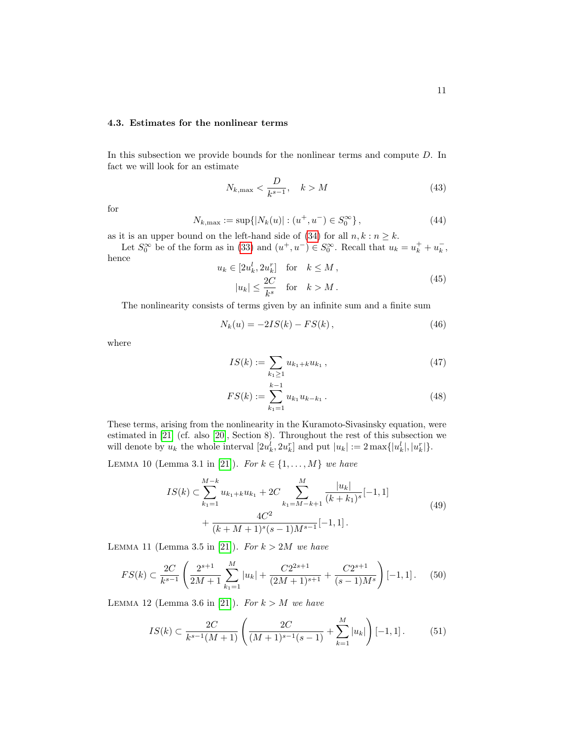# 4.3. Estimates for the nonlinear terms

In this subsection we provide bounds for the nonlinear terms and compute D. In fact we will look for an estimate

$$
N_{k,\max} < \frac{D}{k^{s-1}}, \quad k > M \tag{43}
$$

for

$$
N_{k,\max} := \sup\{|N_k(u)| : (u^+, u^-) \in S_0^{\infty}\},\tag{44}
$$

as it is an upper bound on the left-hand side of [\(34\)](#page-9-6) for all  $n, k : n \geq k$ .

Let  $S_0^{\infty}$  be of the form as in [\(33\)](#page-8-3) and  $(u^+, u^-) \in S_0^{\infty}$ . Recall that  $u_k = u_k^+ + u_k^-$ , hence

$$
u_k \in [2u_k^l, 2u_k^r] \quad \text{for} \quad k \le M,
$$
  

$$
|u_k| \le \frac{2C}{k^s} \quad \text{for} \quad k > M.
$$
 (45)

The nonlinearity consists of terms given by an infinite sum and a finite sum

$$
N_k(u) = -2IS(k) - FS(k),
$$
\n(46)

where

$$
IS(k) := \sum_{k_1 \ge 1} u_{k_1 + k} u_{k_1}, \qquad (47)
$$

$$
FS(k) := \sum_{k_1=1}^{k-1} u_{k_1} u_{k-k_1} . \tag{48}
$$

These terms, arising from the nonlinearity in the Kuramoto-Sivasinsky equation, were estimated in [\[21\]](#page-15-4) (cf. also [\[20\]](#page-15-3), Section 8). Throughout the rest of this subsection we will denote by  $u_k$  the whole interval  $[2u_k^l, 2u_k^r]$  and put  $|u_k| := 2 \max\{|u_k^l|, |u_k^r|\}.$ 

<span id="page-10-2"></span>LEMMA 10 (Lemma 3.1 in [\[21\]](#page-15-4)). For  $k \in \{1, ..., M\}$  we have

$$
IS(k) \subset \sum_{k_1=1}^{M-k} u_{k_1+k} u_{k_1} + 2C \sum_{k_1=M-k+1}^{M} \frac{|u_k|}{(k+k_1)^s} [-1,1] + \frac{4C^2}{(k+M+1)^s(s-1)M^{s-1}} [-1,1].
$$
\n(49)

<span id="page-10-0"></span>LEMMA 11 (Lemma 3.5 in [\[21\]](#page-15-4)). For  $k > 2M$  we have

$$
FS(k) \subset \frac{2C}{k^{s-1}} \left( \frac{2^{s+1}}{2M+1} \sum_{k_1=1}^M |u_k| + \frac{C2^{2s+1}}{(2M+1)^{s+1}} + \frac{C2^{s+1}}{(s-1)M^s} \right) [-1,1]. \tag{50}
$$

<span id="page-10-1"></span>LEMMA 12 (Lemma 3.6 in [\[21\]](#page-15-4)). For  $k > M$  we have

$$
IS(k) \subset \frac{2C}{k^{s-1}(M+1)} \left( \frac{2C}{(M+1)^{s-1}(s-1)} + \sum_{k=1}^{M} |u_k| \right) [-1,1]. \tag{51}
$$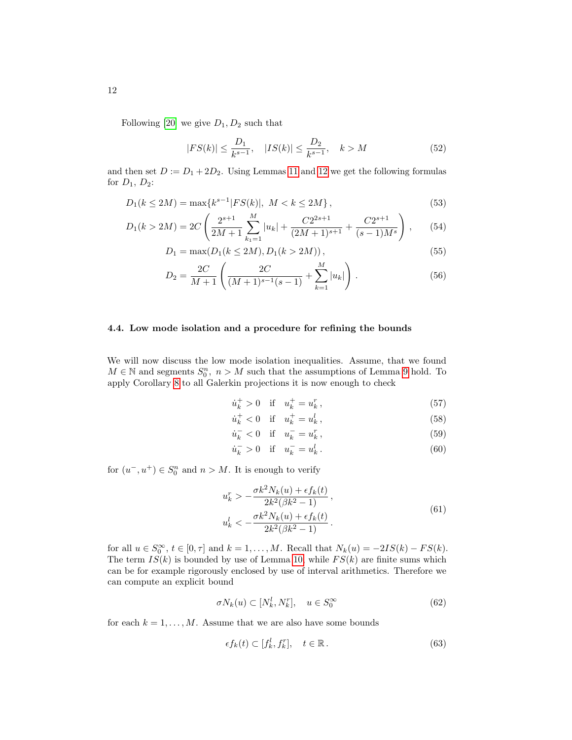Following [\[20\]](#page-15-3) we give  $D_1, D_2$  such that

$$
|FS(k)| \le \frac{D_1}{k^{s-1}}, \quad |IS(k)| \le \frac{D_2}{k^{s-1}}, \quad k > M \tag{52}
$$

and then set  $D := D_1 + 2D_2$ . Using Lemmas [11](#page-10-0) and [12](#page-10-1) we get the following formulas for  $D_1$ ,  $D_2$ :

$$
D_1(k \le 2M) = \max\{k^{s-1}|FS(k)|, \ M < k \le 2M\},\tag{53}
$$

$$
D_1(k > 2M) = 2C \left( \frac{2^{s+1}}{2M+1} \sum_{k_1=1}^{M} |u_k| + \frac{C2^{2s+1}}{(2M+1)^{s+1}} + \frac{C2^{s+1}}{(s-1)M^s} \right), \qquad (54)
$$

$$
D_1 = \max(D_1(k \le 2M), D_1(k > 2M)),
$$
\n(55)

$$
D_2 = \frac{2C}{M+1} \left( \frac{2C}{(M+1)^{s-1}(s-1)} + \sum_{k=1}^{M} |u_k| \right).
$$
 (56)

# <span id="page-11-1"></span>4.4. Low mode isolation and a procedure for refining the bounds

We will now discuss the low mode isolation inequalities. Assume, that we found  $M \in \mathbb{N}$  and segments  $S_0^n$ ,  $n > M$  such that the assumptions of Lemma [9](#page-9-7) hold. To apply Corollary [8](#page-6-5) to all Galerkin projections it is now enough to check

$$
\dot{u}_k^+ > 0 \quad \text{if} \quad u_k^+ = u_k^r \,, \tag{57}
$$

$$
\dot{u}_k^+ < 0 \quad \text{if} \quad u_k^+ = u_k^l \,,\tag{58}
$$

$$
\dot{u}_k^- < 0 \quad \text{if} \quad u_k^- = u_k^r \,,\tag{59}
$$

$$
\dot{u}_k^- > 0 \quad \text{if} \quad u_k^- = u_k^l. \tag{60}
$$

for  $(u^-, u^+) \in S_0^n$  and  $n > M$ . It is enough to verify

<span id="page-11-0"></span>
$$
u_k^r > -\frac{\sigma k^2 N_k(u) + \epsilon f_k(t)}{2k^2(\beta k^2 - 1)},
$$
\n
$$
u_k^l < -\frac{\sigma k^2 N_k(u) + \epsilon f_k(t)}{2k^2(\beta k^2 - 1)}.
$$
\n(61)

for all  $u \in S_0^{\infty}$ ,  $t \in [0, \tau]$  and  $k = 1, \ldots, M$ . Recall that  $N_k(u) = -2IS(k) - FS(k)$ . The term  $IS(k)$  is bounded by use of Lemma [10,](#page-10-2) while  $FS(k)$  are finite sums which can be for example rigorously enclosed by use of interval arithmetics. Therefore we can compute an explicit bound

$$
\sigma N_k(u) \subset [N_k^l, N_k^r], \quad u \in S_0^{\infty} \tag{62}
$$

for each  $k = 1, ..., M$ . Assume that we are also have some bounds

$$
\epsilon f_k(t) \subset [f_k^l, f_k^r], \quad t \in \mathbb{R} \,. \tag{63}
$$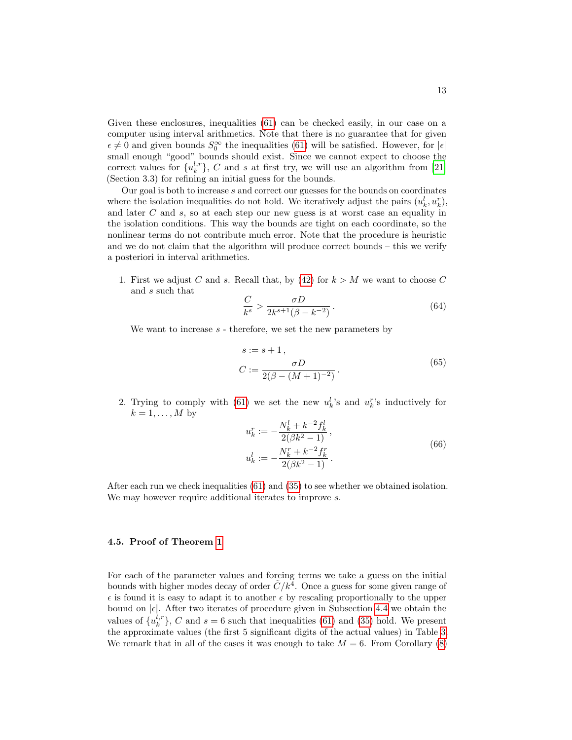Given these enclosures, inequalities [\(61\)](#page-11-0) can be checked easily, in our case on a computer using interval arithmetics. Note that there is no guarantee that for given  $\epsilon \neq 0$  and given bounds  $S_0^{\infty}$  the inequalities [\(61\)](#page-11-0) will be satisfied. However, for  $|\epsilon|$ small enough "good" bounds should exist. Since we cannot expect to choose the correct values for  $\{u_k^{l,r}\}, C$  and s at first try, we will use an algorithm from [\[21\]](#page-15-4) (Section 3.3) for refining an initial guess for the bounds.

Our goal is both to increase s and correct our guesses for the bounds on coordinates where the isolation inequalities do not hold. We iteratively adjust the pairs  $(u_k^l, u_k^r)$ , and later C and s, so at each step our new guess is at worst case an equality in the isolation conditions. This way the bounds are tight on each coordinate, so the nonlinear terms do not contribute much error. Note that the procedure is heuristic and we do not claim that the algorithm will produce correct bounds – this we verify a posteriori in interval arithmetics.

1. First we adjust C and s. Recall that, by  $(42)$  for  $k > M$  we want to choose C and s such that

$$
\frac{C}{k^s} > \frac{\sigma D}{2k^{s+1}(\beta - k^{-2})} \,. \tag{64}
$$

We want to increase  $s$  - therefore, we set the new parameters by

$$
s := s + 1,
$$
  
\n
$$
C := \frac{\sigma D}{2(\beta - (M + 1)^{-2})}.
$$
\n(65)

2. Trying to comply with [\(61\)](#page-11-0) we set the new  $u_k^l$ 's and  $u_k^r$ 's inductively for  $k = 1, \ldots, M$  by

$$
u_k^r := -\frac{N_k^l + k^{-2} f_k^l}{2(\beta k^2 - 1)},
$$
  

$$
u_k^l := -\frac{N_k^r + k^{-2} f_k^r}{2(\beta k^2 - 1)}.
$$
 (66)

After each run we check inequalities [\(61\)](#page-11-0) and [\(35\)](#page-9-9) to see whether we obtained isolation. We may however require additional iterates to improve s.

### 4.5. Proof of Theorem [1](#page-2-3)

For each of the parameter values and forcing terms we take a guess on the initial bounds with higher modes decay of order  $\tilde{C}/k^4$ . Once a guess for some given range of  $\epsilon$  is found it is easy to adapt it to another  $\epsilon$  by rescaling proportionally to the upper bound on  $|\epsilon|$ . After two iterates of procedure given in Subsection [4.4](#page-11-1) we obtain the values of  $\{u_k^{l,r}\}\$ , C and  $s=6$  such that inequalities [\(61\)](#page-11-0) and [\(35\)](#page-9-9) hold. We present the approximate values (the first 5 significant digits of the actual values) in Table [3.](#page-13-0) We remark that in all of the cases it was enough to take  $M = 6$ . From Corollary [\(8\)](#page-6-5)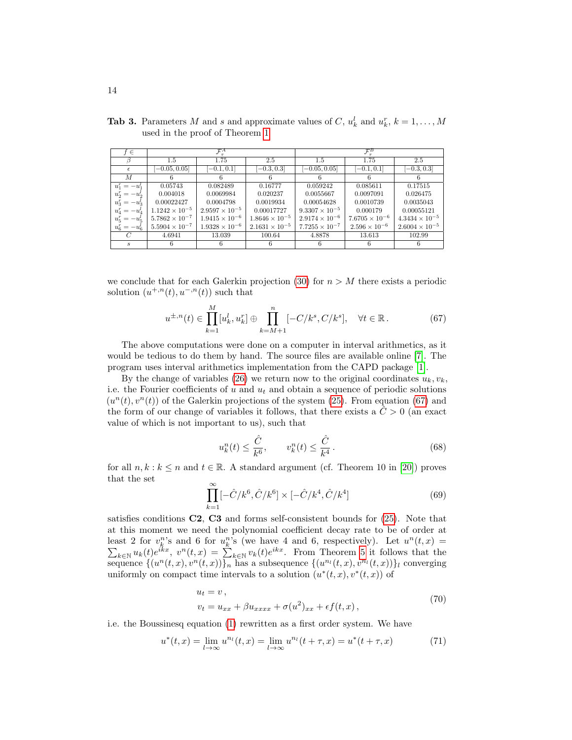| $f \in$          | $\overline{\mathcal{F}}_\tau^A$ |                         |                         | $\mathcal{F}^B_\tau$    |                         |                         |  |
|------------------|---------------------------------|-------------------------|-------------------------|-------------------------|-------------------------|-------------------------|--|
|                  | $1.5\,$                         | 1.75                    | 2.5                     | $1.5\,$                 | 1.75                    | 2.5                     |  |
| $\epsilon$       | $[-0.05, 0.05]$                 | $[-0.1, 0.1]$           | $[-0.3, 0.3]$           | $[-0.05, 0.05]$         | $[-0.1, 0.1]$           | $[-0.3, 0.3]$           |  |
| М                |                                 |                         | 6                       |                         | 6                       | 6                       |  |
| $u_1^r = -u_1^l$ | 0.05743                         | 0.082489                | 0.16777                 | 0.059242                | 0.085611                | 0.17515                 |  |
| $u_2^r = -u_2^l$ | 0.004018                        | 0.0069984               | 0.020237                | 0.0055667               | 0.0097091               | 0.026475                |  |
| $u_3^r = -u_3^l$ | 0.00022427                      | 0.0004798               | 0.0019934               | 0.00054628              | 0.0010739               | 0.0035043               |  |
| $u_4^r = -u_4^l$ | $1.1242 \times 10^{-5}$         | $2.9597 \times 10^{-5}$ | 0.00017727              | $9.3307 \times 10^{-5}$ | 0.000179                | 0.00055121              |  |
| $u_5^r = -u_5^l$ | $5.7862 \times 10^{-7}$         | $1.9415 \times 10^{-6}$ | $1.8646 \times 10^{-5}$ | $2.9174 \times 10^{-6}$ | $7.6705 \times 10^{-6}$ | $4.3434 \times 10^{-5}$ |  |
| $u_6^r = -u_6^l$ | $5.5904 \times 10^{-7}$         | $1.9328 \times 10^{-6}$ | $2.1631 \times 10^{-5}$ | $7.7255 \times 10^{-7}$ | $2.596 \times 10^{-6}$  | $2.6004 \times 10^{-5}$ |  |
|                  | 4.6941                          | 13.039                  | 100.64                  | 4.8878                  | 13.613                  | 102.99                  |  |
| S                | 6                               |                         | 6                       |                         | 6                       | 6                       |  |

<span id="page-13-0"></span>**Tab 3.** Parameters M and s and approximate values of C,  $u_k^l$  and  $u_k^r$ ,  $k = 1, ..., M$ used in the proof of Theorem [1](#page-2-3)

we conclude that for each Galerkin projection [\(30\)](#page-8-1) for  $n > M$  there exists a periodic solution  $(u^{+,n}(t), u^{-,n}(t))$  such that

<span id="page-13-1"></span>
$$
u^{\pm,n}(t) \in \prod_{k=1}^{M} [u_k^l, u_k^r] \oplus \prod_{k=M+1}^{n} [-C/k^s, C/k^s], \quad \forall t \in \mathbb{R}.
$$
 (67)

The above computations were done on a computer in interval arithmetics, as it would be tedious to do them by hand. The source files are available online [\[7\]](#page-14-10). The program uses interval arithmetics implementation from the CAPD package [\[1\]](#page-14-14).

By the change of variables [\(26\)](#page-7-0) we return now to the original coordinates  $u_k, v_k$ , i.e. the Fourier coefficients of  $u$  and  $u_t$  and obtain a sequence of periodic solutions  $(u<sup>n</sup>(t), v<sup>n</sup>(t))$  of the Galerkin projections of the system [\(25\)](#page-7-2). From equation [\(67\)](#page-13-1) and the form of our change of variables it follows, that there exists a  $\hat{C} > 0$  (an exact value of which is not important to us), such that

<span id="page-13-2"></span>
$$
u_k^n(t) \le \frac{\hat{C}}{k^6}, \qquad v_k^n(t) \le \frac{\hat{C}}{k^4}.
$$
\n
$$
(68)
$$

for all  $n, k : k \leq n$  and  $t \in \mathbb{R}$ . A standard argument (cf. Theorem 10 in [\[20\]](#page-15-3)) proves that the set

$$
\prod_{k=1}^{\infty} [-\hat{C}/k^6, \hat{C}/k^6] \times [-\hat{C}/k^4, \hat{C}/k^4]
$$
\n(69)

satisfies conditions  $C2$ ,  $C3$  and forms self-consistent bounds for  $(25)$ . Note that at this moment we need the polynomial coefficient decay rate to be of order at least 2 for  $v_k^n$ 's and 6 for  $u_k^n$ 's (we have 4 and 6, respectively). Let  $u^n$ P  $(t, x) =$  $\lim_{k \in \mathbb{N}} u_k(t) e^{ikx}$ ,  $v^n(t, x) = \sum_{k \in \mathbb{N}} v_k(t) e^{ikx}$ . From Theorem [5](#page-5-1) it follows that the sequence  $\{(u^n(t,x), v^n(t,x))\}_n$  has a subsequence  $\{(u^{n_l}(t,x), v^{n_l}(t,x))\}_l$  converging uniformly on compact time intervals to a solution  $(u^*(t, x), v^*(t, x))$  of

$$
u_t = v,
$$
  
\n
$$
v_t = u_{xx} + \beta u_{xxxx} + \sigma(u^2)_{xx} + \epsilon f(t, x),
$$
\n(70)

i.e. the Boussinesq equation [\(1\)](#page-1-1) rewritten as a first order system. We have

$$
u^*(t,x) = \lim_{l \to \infty} u^{n_l}(t,x) = \lim_{l \to \infty} u^{n_l}(t+\tau,x) = u^*(t+\tau,x)
$$
(71)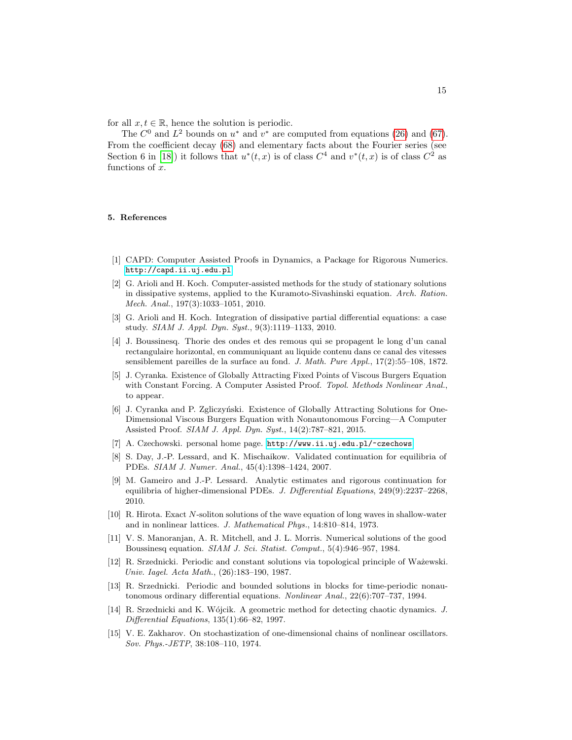for all  $x, t \in \mathbb{R}$ , hence the solution is periodic.

The  $C^0$  and  $L^2$  bounds on  $u^*$  and  $v^*$  are computed from equations [\(26\)](#page-7-0) and [\(67\)](#page-13-1). From the coefficient decay [\(68\)](#page-13-2) and elementary facts about the Fourier series (see Section 6 in [\[18\]](#page-15-5)) it follows that  $u^*(t, x)$  is of class  $C^4$  and  $v^*(t, x)$  is of class  $C^2$  as functions of  $x$ .

#### 5. References

- <span id="page-14-14"></span>[1] CAPD: Computer Assisted Proofs in Dynamics, a Package for Rigorous Numerics. <http://capd.ii.uj.edu.pl>.
- <span id="page-14-0"></span>[2] G. Arioli and H. Koch. Computer-assisted methods for the study of stationary solutions in dissipative systems, applied to the Kuramoto-Sivashinski equation. Arch. Ration. Mech. Anal., 197(3):1033–1051, 2010.
- <span id="page-14-1"></span>[3] G. Arioli and H. Koch. Integration of dissipative partial differential equations: a case study. SIAM J. Appl. Dyn. Syst., 9(3):1119–1133, 2010.
- <span id="page-14-6"></span>[4] J. Boussinesq. Thorie des ondes et des remous qui se propagent le long d'un canal rectangulaire horizontal, en communiquant au liquide contenu dans ce canal des vitesses sensiblement pareilles de la surface au fond. J. Math. Pure Appl., 17(2):55–108, 1872.
- <span id="page-14-2"></span>[5] J. Cyranka. Existence of Globally Attracting Fixed Points of Viscous Burgers Equation with Constant Forcing. A Computer Assisted Proof. Topol. Methods Nonlinear Anal., to appear.
- <span id="page-14-3"></span>[6] J. Cyranka and P. Zgliczyński. Existence of Globally Attracting Solutions for One-Dimensional Viscous Burgers Equation with Nonautonomous Forcing—A Computer Assisted Proof. SIAM J. Appl. Dyn. Syst., 14(2):787–821, 2015.
- <span id="page-14-10"></span>[7] A. Czechowski. personal home page. <http://www.ii.uj.edu.pl/~czechows>.
- <span id="page-14-4"></span>[8] S. Day, J.-P. Lessard, and K. Mischaikow. Validated continuation for equilibria of PDEs. SIAM J. Numer. Anal., 45(4):1398–1424, 2007.
- <span id="page-14-5"></span>[9] M. Gameiro and J.-P. Lessard. Analytic estimates and rigorous continuation for equilibria of higher-dimensional PDEs. J. Differential Equations, 249(9):2237–2268, 2010.
- <span id="page-14-8"></span>[10] R. Hirota. Exact N-soliton solutions of the wave equation of long waves in shallow-water and in nonlinear lattices. J. Mathematical Phys., 14:810–814, 1973.
- <span id="page-14-7"></span>[11] V. S. Manoranjan, A. R. Mitchell, and J. L. Morris. Numerical solutions of the good Boussinesq equation. SIAM J. Sci. Statist. Comput., 5(4):946–957, 1984.
- <span id="page-14-11"></span>[12] R. Srzednicki. Periodic and constant solutions via topological principle of Ważewski. Univ. Iagel. Acta Math., (26):183–190, 1987.
- <span id="page-14-12"></span>[13] R. Srzednicki. Periodic and bounded solutions in blocks for time-periodic nonautonomous ordinary differential equations. Nonlinear Anal., 22(6):707–737, 1994.
- <span id="page-14-13"></span>[14] R. Srzednicki and K. Wójcik. A geometric method for detecting chaotic dynamics. J. Differential Equations, 135(1):66–82, 1997.
- <span id="page-14-9"></span>[15] V. E. Zakharov. On stochastization of one-dimensional chains of nonlinear oscillators. Sov. Phys.-JETP, 38:108–110, 1974.